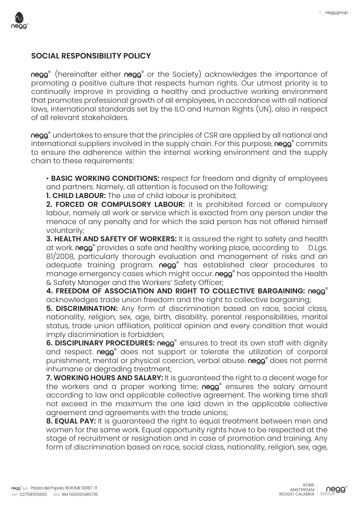

## **SOCIAL RESPONSIBILITY POLICY**

negg<sup>®</sup> (hereinafter either negg<sup>®</sup> or the Society) acknowledges the importance of promoting a positive culture that respects human rights. Our utmost priority is to continually improve in providing a healthy and productive working environment that promotes professional growth of all employees, in accordance with all national laws, international standards set by the ILO and Human Rights (UN), also in respect of all relevant stakeholders.

negg<sup>®</sup> undertakes to ensure that the principles of CSR are applied by all national and international suppliers involved in the supply chain. For this purpose, negg<sup>®</sup> commits to ensure the adherence within the internal working environment and the supply chain to these requirements:

• **BASIC WORKING CONDITIONS:** respect for freedom and dignity of employees and partners. Namely, all attention is focused on the following:

**1. CHILD LABOUR:** The use of child labour is prohibited;

**2. FORCED OR COMPULSORY LABOUR:** it is prohibited forced or compulsory labour, namely all work or service which is exacted from any person under the menace of any penalty and for which the said person has not offered himself voluntarily;

**3. HEALTH AND SAFETY OF WORKERS:** It is assured the right to safety and health at work. negg<sup>®</sup> provides a safe and healthy working place, according to D.Lgs. 81/2008, particularly thorough evaluation and management of risks and an adequate training program. negg<sup>®</sup> has established clear procedures to manage emergency cases which might occur. negg<sup>®</sup> has appointed the Health & Safety Manager and the Workers' Safety Officer;

**4. FREEDOM OF ASSOCIATION AND RIGHT TO COLLECTIVE BARGAINING:** negg® acknowledges trade union freedom and the right to collective bargaining;

**5. DISCRIMINATION:** Any form of discrimination based on race, social class, nationality, religion, sex, age, birth, disability, parental responsibilities, marital status, trade union affiliation, political opinion and every condition that would imply discrimination is forbidden;

**6. DISCIPLINARY PROCEDURES: negg<sup>®</sup> ensures to treat its own staff with dignity** and respect. negg<sup>®</sup> does not support or tolerate the utilization of corporal punishment, mental or physical coercion, verbal abuse. negg<sup>®</sup> does not permit inhumane or degrading treatment;

**7. WORKING HOURS AND SALARY:** It is guaranteed the right to a decent wage for the workers and a proper working time; negg<sup>®</sup> ensures the salary amount according to law and applicable collective agreement. The working time shall not exceed in the maximum the one laid down in the applicable collective agreement and agreements with the trade unions;

**8. EQUAL PAY:** It is guaranteed the right to equal treatment between men and women for the same work. Equal opportunity rights have to be respected at the stage of recruitment or resignation and in case of promotion and training. Any form of discrimination based on race, social class, nationality, religion, sex, age,